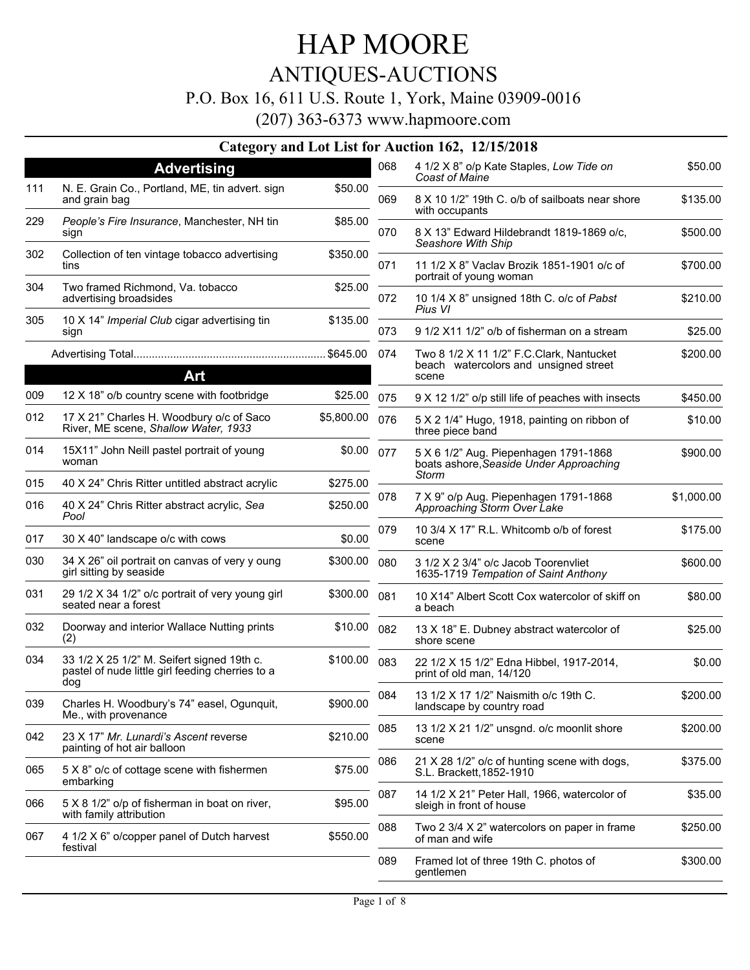## ANTIQUES-AUCTIONS

#### P.O. Box 16, 611 U.S. Route 1, York, Maine 03909-0016

| <b>Advertising</b>                                                                             |                                                                                                                               | 068 | 4 1/2 X 8" o/p Kate Staples, Low Tide on                                         | \$50.00                                                                                                                                                                                                                                                                                     |
|------------------------------------------------------------------------------------------------|-------------------------------------------------------------------------------------------------------------------------------|-----|----------------------------------------------------------------------------------|---------------------------------------------------------------------------------------------------------------------------------------------------------------------------------------------------------------------------------------------------------------------------------------------|
| N. E. Grain Co., Portland, ME, tin advert. sign<br>and grain bag                               | \$50.00                                                                                                                       | 069 | 8 X 10 1/2" 19th C. o/b of sailboats near shore                                  | \$135.00                                                                                                                                                                                                                                                                                    |
| People's Fire Insurance, Manchester, NH tin<br>sign                                            | \$85.00                                                                                                                       | 070 | 8 X 13" Edward Hildebrandt 1819-1869 o/c,                                        | \$500.00                                                                                                                                                                                                                                                                                    |
| Collection of ten vintage tobacco advertising<br>tins                                          | \$350.00                                                                                                                      | 071 | 11 1/2 X 8" Vaclav Brozik 1851-1901 o/c of                                       | \$700.00                                                                                                                                                                                                                                                                                    |
| Two framed Richmond, Va. tobacco<br>advertising broadsides                                     | \$25.00                                                                                                                       | 072 | 10 1/4 X 8" unsigned 18th C. o/c of Pabst                                        | \$210.00                                                                                                                                                                                                                                                                                    |
| 10 X 14" Imperial Club cigar advertising tin                                                   | \$135.00                                                                                                                      | 073 | Pius VI                                                                          | \$25.00                                                                                                                                                                                                                                                                                     |
|                                                                                                |                                                                                                                               | 074 |                                                                                  | \$200.00                                                                                                                                                                                                                                                                                    |
|                                                                                                |                                                                                                                               |     | beach watercolors and unsigned street<br>scene                                   |                                                                                                                                                                                                                                                                                             |
| 12 X 18" o/b country scene with footbridge                                                     | \$25.00                                                                                                                       | 075 | 9 X 12 1/2" o/p still life of peaches with insects                               | \$450.00                                                                                                                                                                                                                                                                                    |
| 17 X 21" Charles H. Woodbury o/c of Saco<br>River, ME scene, Shallow Water, 1933               | \$5,800.00                                                                                                                    | 076 | 5 X 2 1/4" Hugo, 1918, painting on ribbon of<br>three piece band                 | \$10.00                                                                                                                                                                                                                                                                                     |
| 15X11" John Neill pastel portrait of young<br>woman                                            | \$0.00                                                                                                                        | 077 | 5 X 6 1/2" Aug. Piepenhagen 1791-1868<br>boats ashore, Seaside Under Approaching | \$900.00                                                                                                                                                                                                                                                                                    |
| 40 X 24" Chris Ritter untitled abstract acrylic                                                | \$275.00                                                                                                                      |     |                                                                                  |                                                                                                                                                                                                                                                                                             |
| 40 X 24" Chris Ritter abstract acrylic, Sea<br>Pool                                            | \$250.00                                                                                                                      |     | Approaching Storm Over Lake                                                      | \$1,000.00                                                                                                                                                                                                                                                                                  |
| 30 X 40" landscape o/c with cows                                                               | \$0.00                                                                                                                        | 079 | 10 3/4 X 17" R.L. Whitcomb o/b of forest<br>scene                                | \$175.00                                                                                                                                                                                                                                                                                    |
| 34 X 26" oil portrait on canvas of very y oung<br>girl sitting by seaside                      | \$300.00                                                                                                                      | 080 | 3 1/2 X 2 3/4" o/c Jacob Toorenvliet<br>1635-1719 Tempation of Saint Anthony     | \$600.00                                                                                                                                                                                                                                                                                    |
| 29 1/2 X 34 1/2" o/c portrait of very young girl<br>seated near a forest                       | \$300.00                                                                                                                      | 081 | 10 X14" Albert Scott Cox watercolor of skiff on<br>a beach                       | \$80.00                                                                                                                                                                                                                                                                                     |
| Doorway and interior Wallace Nutting prints<br>(2)                                             | \$10.00                                                                                                                       | 082 | 13 X 18" E. Dubney abstract watercolor of<br>shore scene                         | \$25.00                                                                                                                                                                                                                                                                                     |
| 33 1/2 X 25 1/2" M. Seifert signed 19th c.<br>pastel of nude little girl feeding cherries to a | \$100.00                                                                                                                      | 083 | 22 1/2 X 15 1/2" Edna Hibbel, 1917-2014,<br>print of old man, 14/120             | \$0.00                                                                                                                                                                                                                                                                                      |
| Charles H. Woodbury's 74" easel, Ogunquit,                                                     | \$900.00                                                                                                                      | 084 | 13 1/2 X 17 1/2" Naismith o/c 19th C.<br>landscape by country road               | \$200.00                                                                                                                                                                                                                                                                                    |
| 23 X 17" Mr. Lunardi's Ascent reverse                                                          | \$210.00                                                                                                                      | 085 | 13 1/2 X 21 1/2" unsgnd. o/c moonlit shore<br>scene                              | \$200.00                                                                                                                                                                                                                                                                                    |
| 5 X 8" o/c of cottage scene with fishermen                                                     | \$75.00                                                                                                                       | 086 | 21 X 28 1/2" o/c of hunting scene with dogs,<br>S.L. Brackett, 1852-1910         | \$375.00                                                                                                                                                                                                                                                                                    |
| 5 X 8 1/2" o/p of fisherman in boat on river,                                                  | \$95.00                                                                                                                       | 087 | 14 1/2 X 21" Peter Hall, 1966, watercolor of<br>sleigh in front of house         | \$35.00                                                                                                                                                                                                                                                                                     |
| 4 1/2 X 6" o/copper panel of Dutch harvest                                                     | \$550.00                                                                                                                      | 088 | Two 2 3/4 X 2" watercolors on paper in frame<br>of man and wife                  | \$250.00                                                                                                                                                                                                                                                                                    |
|                                                                                                |                                                                                                                               | 089 | Framed lot of three 19th C. photos of<br>gentlemen                               | \$300.00                                                                                                                                                                                                                                                                                    |
|                                                                                                | sign<br>Art<br>dog<br>Me., with provenance<br>painting of hot air balloon<br>embarking<br>with family attribution<br>festival |     | 078                                                                              | Category and Lot List for Auction 162, 12/15/2018<br>Coast of Maine<br>with occupants<br>Seashore With Ship<br>portrait of young woman<br>9 1/2 X11 1/2" o/b of fisherman on a stream<br>Two 8 1/2 X 11 1/2" F.C. Clark, Nantucket<br><b>Storm</b><br>7 X 9" o/p Aug. Piepenhagen 1791-1868 |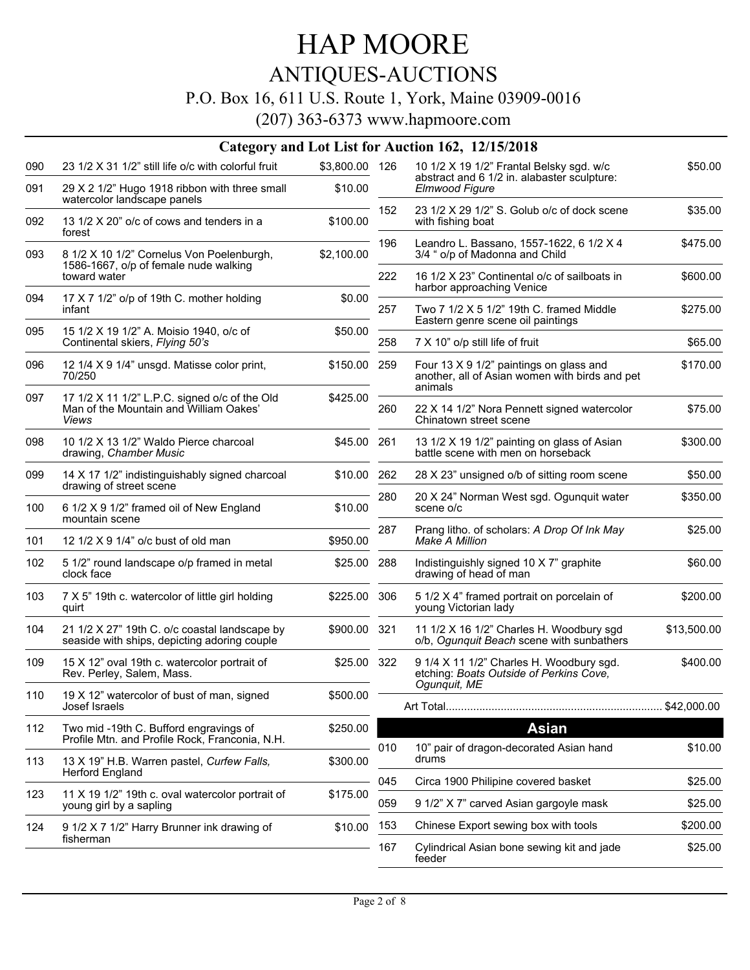## ANTIQUES-AUCTIONS

#### P.O. Box 16, 611 U.S. Route 1, York, Maine 03909-0016

|     |                                                                                                  |                |                                          | Category and Lot List for Auction 162, 12/15/2018                                                    |             |
|-----|--------------------------------------------------------------------------------------------------|----------------|------------------------------------------|------------------------------------------------------------------------------------------------------|-------------|
| 090 | 23 1/2 X 31 1/2" still life o/c with colorful fruit                                              | \$3,800.00 126 | 10 1/2 X 19 1/2" Frantal Belsky sgd. w/c |                                                                                                      | \$50.00     |
| 091 | 29 X 2 1/2" Hugo 1918 ribbon with three small<br>watercolor landscape panels                     | \$10.00        |                                          | abstract and 6 1/2 in. alabaster sculpture:<br>Elmwood Figure                                        |             |
| 092 | 13 1/2 X 20" o/c of cows and tenders in a<br>forest                                              | \$100.00       | 152                                      | 23 1/2 X 29 1/2" S. Golub o/c of dock scene<br>with fishing boat                                     | \$35.00     |
| 093 | 8 1/2 X 10 1/2" Cornelus Von Poelenburgh,<br>1586-1667, o/p of female nude walking               | \$2,100.00     | 196                                      | Leandro L. Bassano, 1557-1622, 6 1/2 X 4<br>3/4 " o/p of Madonna and Child                           | \$475.00    |
|     | toward water                                                                                     |                | 222                                      | 16 1/2 X 23" Continental o/c of sailboats in<br>harbor approaching Venice                            | \$600.00    |
| 094 | 17 X 7 1/2" o/p of 19th C. mother holding<br>infant                                              | \$0.00         | 257                                      | Two 7 1/2 X 5 1/2" 19th C. framed Middle<br>Eastern genre scene oil paintings                        | \$275.00    |
| 095 | 15 1/2 X 19 1/2" A. Moisio 1940, o/c of<br>Continental skiers, Flying 50's                       | \$50.00        | 258                                      | 7 X 10" o/p still life of fruit                                                                      | \$65.00     |
| 096 | 12 1/4 X 9 1/4" unsgd. Matisse color print,<br>70/250                                            | \$150.00 259   |                                          | Four 13 X 9 1/2" paintings on glass and<br>another, all of Asian women with birds and pet<br>animals | \$170.00    |
| 097 | 17 1/2 X 11 1/2" L.P.C. signed o/c of the Old<br>Man of the Mountain and William Oakes'<br>Views | \$425.00       | 260                                      | 22 X 14 1/2" Nora Pennett signed watercolor<br>Chinatown street scene                                | \$75.00     |
| 098 | 10 1/2 X 13 1/2" Waldo Pierce charcoal<br>drawing, Chamber Music                                 | \$45.00 261    |                                          | 13 1/2 X 19 1/2" painting on glass of Asian<br>battle scene with men on horseback                    | \$300.00    |
| 099 | 14 X 17 1/2" indistinguishably signed charcoal<br>drawing of street scene                        | \$10.00        | 262                                      | 28 X 23" unsigned o/b of sitting room scene                                                          | \$50.00     |
| 100 | 6 1/2 X 9 1/2" framed oil of New England<br>mountain scene                                       | \$10.00        | 280                                      | 20 X 24" Norman West sgd. Ogunquit water<br>scene o/c                                                | \$350.00    |
| 101 | 12 1/2 X 9 1/4" o/c bust of old man                                                              | \$950.00       | 287                                      | Prang litho. of scholars: A Drop Of Ink May<br>Make A Million                                        | \$25.00     |
| 102 | 5 1/2" round landscape o/p framed in metal<br>clock face                                         | \$25.00 288    |                                          | Indistinguishly signed 10 X 7" graphite<br>drawing of head of man                                    | \$60.00     |
| 103 | 7 X 5" 19th c. watercolor of little girl holding<br>quirt                                        | \$225.00 306   |                                          | 5 1/2 X 4" framed portrait on porcelain of<br>young Victorian lady                                   | \$200.00    |
| 104 | 21 1/2 X 27" 19th C. o/c coastal landscape by<br>seaside with ships, depicting adoring couple    | \$900.00 321   |                                          | 11 1/2 X 16 1/2" Charles H. Woodbury sgd<br>o/b, Ogunquit Beach scene with sunbathers                | \$13,500.00 |
| 109 | 15 X 12" oval 19th c. watercolor portrait of<br>Rev. Perley, Salem, Mass.                        | \$25.00 322    |                                          | 9 1/4 X 11 1/2" Charles H. Woodbury sgd.<br>etching: Boats Outside of Perkins Cove,                  | \$400.00    |
| 110 | 19 X 12" watercolor of bust of man, signed<br>Josef Israels                                      | \$500.00       |                                          | Ogunquit, ME                                                                                         |             |
| 112 | Two mid -19th C. Bufford engravings of<br>Profile Mtn. and Profile Rock, Franconia, N.H.         | \$250.00       |                                          | <b>Asian</b>                                                                                         |             |
| 113 | 13 X 19" H.B. Warren pastel, Curfew Falls,<br><b>Herford England</b>                             | \$300.00       | 010                                      | 10" pair of dragon-decorated Asian hand<br>drums                                                     | \$10.00     |
| 123 |                                                                                                  |                | 045                                      | Circa 1900 Philipine covered basket                                                                  | \$25.00     |
|     | 11 X 19 1/2" 19th c. oval watercolor portrait of<br>young girl by a sapling                      | \$175.00       | 059                                      | 9 1/2" X 7" carved Asian gargoyle mask                                                               | \$25.00     |
| 124 | 9 1/2 X 7 1/2" Harry Brunner ink drawing of                                                      | \$10.00        | 153                                      | Chinese Export sewing box with tools                                                                 | \$200.00    |
|     | fisherman                                                                                        |                | 167                                      | Cylindrical Asian bone sewing kit and jade<br>feeder                                                 | \$25.00     |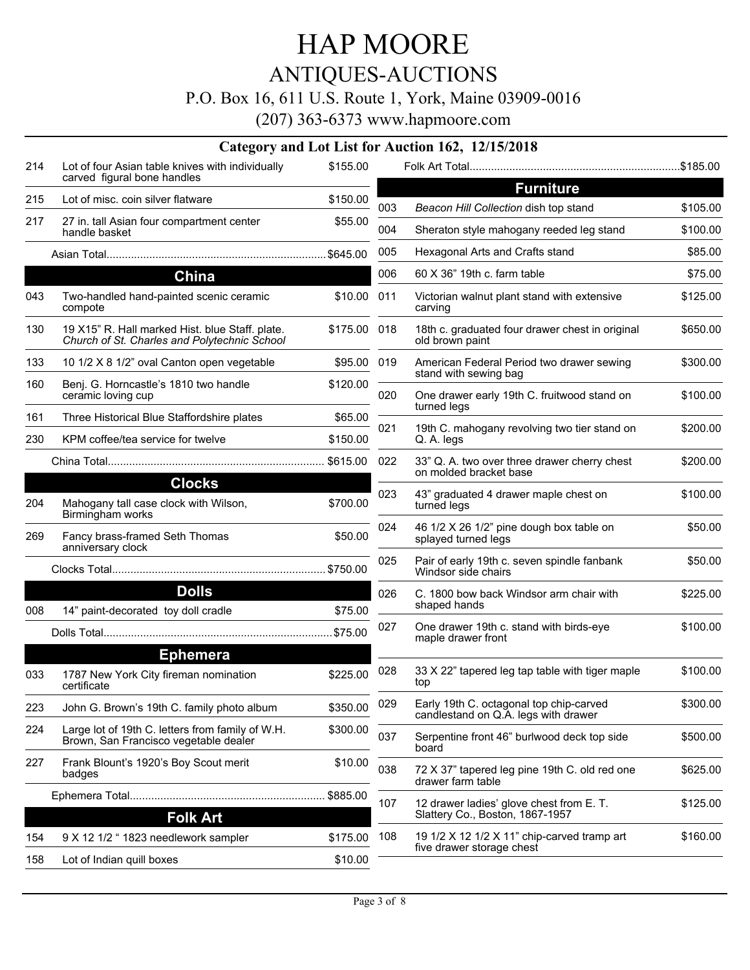## ANTIQUES-AUCTIONS

#### P.O. Box 16, 611 U.S. Route 1, York, Maine 03909-0016

|     |                                                                                                 |              |     | Category and Lot List for Auction 162, 12/15/2018                               |          |
|-----|-------------------------------------------------------------------------------------------------|--------------|-----|---------------------------------------------------------------------------------|----------|
| 214 | Lot of four Asian table knives with individually<br>carved figural bone handles                 | \$155.00     |     |                                                                                 |          |
| 215 | Lot of misc, coin silver flatware                                                               | \$150.00     |     | <b>Furniture</b>                                                                |          |
| 217 |                                                                                                 |              | 003 | Beacon Hill Collection dish top stand                                           | \$105.00 |
|     | 27 in. tall Asian four compartment center<br>handle basket                                      | \$55.00      | 004 | Sheraton style mahogany reeded leg stand                                        | \$100.00 |
|     |                                                                                                 |              | 005 | Hexagonal Arts and Crafts stand                                                 | \$85.00  |
|     | China                                                                                           |              | 006 | 60 X 36" 19th c. farm table                                                     | \$75.00  |
| 043 | Two-handled hand-painted scenic ceramic<br>compote                                              | \$10.00      | 011 | Victorian walnut plant stand with extensive<br>carving                          | \$125.00 |
| 130 | 19 X15" R. Hall marked Hist. blue Staff. plate.<br>Church of St. Charles and Polytechnic School | \$175.00 018 |     | 18th c. graduated four drawer chest in original<br>old brown paint              | \$650.00 |
| 133 | 10 1/2 X 8 1/2" oval Canton open vegetable                                                      | \$95.00 019  |     | American Federal Period two drawer sewing                                       | \$300.00 |
| 160 | Benj. G. Horncastle's 1810 two handle<br>ceramic loving cup                                     | \$120.00     | 020 | stand with sewing bag<br>One drawer early 19th C. fruitwood stand on            | \$100.00 |
| 161 | Three Historical Blue Staffordshire plates                                                      | \$65.00      |     | turned legs                                                                     |          |
| 230 | KPM coffee/tea service for twelve                                                               | \$150.00     | 021 | 19th C. mahogany revolving two tier stand on<br>Q. A. legs                      | \$200.00 |
|     |                                                                                                 |              | 022 | 33" Q. A. two over three drawer cherry chest<br>on molded bracket base          | \$200.00 |
| 204 | <b>Clocks</b><br>Mahogany tall case clock with Wilson,                                          | \$700.00     | 023 | 43" graduated 4 drawer maple chest on<br>turned legs                            | \$100.00 |
| 269 | Birmingham works<br>Fancy brass-framed Seth Thomas                                              | \$50.00      | 024 | 46 1/2 X 26 1/2" pine dough box table on<br>splayed turned legs                 | \$50.00  |
|     | anniversary clock                                                                               |              | 025 | Pair of early 19th c. seven spindle fanbank<br>Windsor side chairs              | \$50.00  |
|     | <b>Dolls</b>                                                                                    |              | 026 | C. 1800 bow back Windsor arm chair with                                         | \$225.00 |
| 008 | 14" paint-decorated toy doll cradle                                                             | \$75.00      |     | shaped hands                                                                    |          |
|     |                                                                                                 |              | 027 | One drawer 19th c. stand with birds-eye<br>maple drawer front                   | \$100.00 |
|     | <b>Ephemera</b>                                                                                 |              |     |                                                                                 |          |
| 033 | 1787 New York City fireman nomination<br>certificate                                            | \$225.00     | 028 | 33 X 22" tapered leg tap table with tiger maple<br>top                          | \$100.00 |
| 223 | John G. Brown's 19th C. family photo album                                                      | \$350.00     | 029 | Early 19th C. octagonal top chip-carved<br>candlestand on Q.A. legs with drawer | \$300.00 |
| 224 | Large lot of 19th C. letters from family of W.H.<br>Brown, San Francisco vegetable dealer       | \$300.00     | 037 | Serpentine front 46" burlwood deck top side<br>board                            | \$500.00 |
| 227 | Frank Blount's 1920's Boy Scout merit<br>badges                                                 | \$10.00      | 038 | 72 X 37" tapered leg pine 19th C. old red one<br>drawer farm table              | \$625.00 |
|     |                                                                                                 |              | 107 | 12 drawer ladies' glove chest from E. T.                                        | \$125.00 |
|     | <b>Folk Art</b>                                                                                 |              |     | Slattery Co., Boston, 1867-1957                                                 |          |
| 154 | 9 X 12 1/2 " 1823 needlework sampler                                                            | \$175.00     | 108 | 19 1/2 X 12 1/2 X 11" chip-carved tramp art<br>five drawer storage chest        | \$160.00 |
| 158 | Lot of Indian quill boxes                                                                       | \$10.00      |     |                                                                                 |          |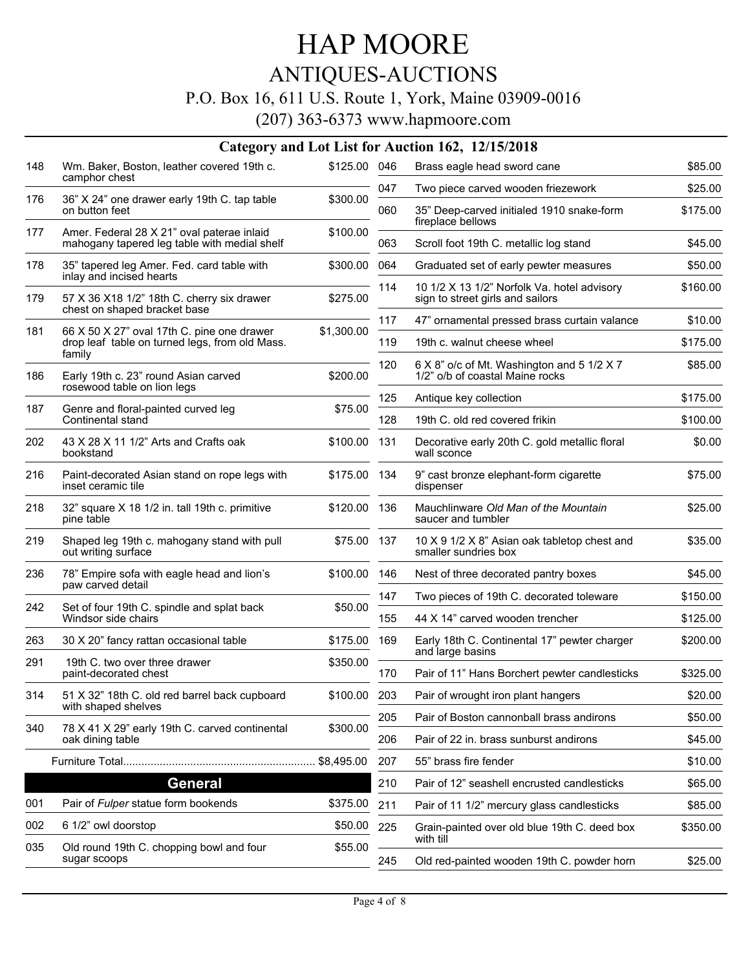## ANTIQUES-AUCTIONS

#### P.O. Box 16, 611 U.S. Route 1, York, Maine 03909-0016

|     |                                                                                                        |              |     | Category and Lot List for Auction 162, 12/15/2018                               |          |
|-----|--------------------------------------------------------------------------------------------------------|--------------|-----|---------------------------------------------------------------------------------|----------|
| 148 | Wm. Baker, Boston, leather covered 19th c.<br>camphor chest                                            | \$125.00 046 |     | Brass eagle head sword cane                                                     | \$85.00  |
| 176 | 36" X 24" one drawer early 19th C. tap table                                                           | \$300.00     | 047 | Two piece carved wooden friezework                                              | \$25.00  |
|     | on button feet                                                                                         |              | 060 | 35" Deep-carved initialed 1910 snake-form<br>fireplace bellows                  | \$175.00 |
| 177 | Amer. Federal 28 X 21" oval paterae inlaid<br>mahogany tapered leg table with medial shelf             | \$100.00     | 063 | Scroll foot 19th C. metallic log stand                                          | \$45.00  |
| 178 | 35" tapered leg Amer. Fed. card table with<br>inlay and incised hearts                                 | \$300.00     | 064 | Graduated set of early pewter measures                                          | \$50.00  |
| 179 | 57 X 36 X18 1/2" 18th C. cherry six drawer<br>chest on shaped bracket base                             | \$275.00     | 114 | 10 1/2 X 13 1/2" Norfolk Va. hotel advisory<br>sign to street girls and sailors | \$160.00 |
|     |                                                                                                        |              | 117 | 47" ornamental pressed brass curtain valance                                    | \$10.00  |
| 181 | 66 X 50 X 27" oval 17th C. pine one drawer<br>drop leaf table on turned legs, from old Mass.<br>family | \$1,300.00   | 119 | 19th c. walnut cheese wheel                                                     | \$175.00 |
| 186 | Early 19th c. 23" round Asian carved<br>rosewood table on lion legs                                    | \$200.00     | 120 | 6 X 8" o/c of Mt. Washington and 5 1/2 X 7<br>1/2" o/b of coastal Maine rocks   | \$85.00  |
| 187 |                                                                                                        | \$75.00      | 125 | Antique key collection                                                          | \$175.00 |
|     | Genre and floral-painted curved leg<br>Continental stand                                               |              | 128 | 19th C, old red covered frikin                                                  | \$100.00 |
| 202 | 43 X 28 X 11 1/2" Arts and Crafts oak<br>bookstand                                                     | \$100.00 131 |     | Decorative early 20th C. gold metallic floral<br>wall sconce                    | \$0.00   |
| 216 | Paint-decorated Asian stand on rope legs with<br>inset ceramic tile                                    | \$175.00 134 |     | 9" cast bronze elephant-form cigarette<br>dispenser                             | \$75.00  |
| 218 | 32" square X 18 1/2 in. tall 19th c. primitive<br>pine table                                           | \$120.00 136 |     | Mauchlinware Old Man of the Mountain<br>saucer and tumbler                      | \$25.00  |
| 219 | Shaped leg 19th c. mahogany stand with pull<br>out writing surface                                     | \$75.00 137  |     | 10 X 9 1/2 X 8" Asian oak tabletop chest and<br>smaller sundries box            | \$35.00  |
| 236 | 78" Empire sofa with eagle head and lion's<br>paw carved detail                                        | \$100.00 146 |     | Nest of three decorated pantry boxes                                            | \$45.00  |
| 242 | Set of four 19th C. spindle and splat back                                                             | \$50.00      | 147 | Two pieces of 19th C. decorated toleware                                        | \$150.00 |
|     | Windsor side chairs                                                                                    |              | 155 | 44 X 14" carved wooden trencher                                                 | \$125.00 |
| 263 | 30 X 20" fancy rattan occasional table                                                                 | \$175.00     | 169 | Early 18th C. Continental 17" pewter charger<br>and large basins                | \$200.00 |
| 291 | 19th C, two over three drawer<br>paint-decorated chest                                                 | \$350.00     | 170 | Pair of 11" Hans Borchert pewter candlesticks                                   | \$325.00 |
| 314 | 51 X 32" 18th C. old red barrel back cupboard                                                          | \$100.00 203 |     | Pair of wrought iron plant hangers                                              | \$20.00  |
|     | with shaped shelves                                                                                    |              | 205 | Pair of Boston cannonball brass andirons                                        | \$50.00  |
| 340 | 78 X 41 X 29" early 19th C. carved continental<br>oak dining table                                     | \$300.00     | 206 | Pair of 22 in. brass sunburst andirons                                          | \$45.00  |
|     |                                                                                                        | \$8,495.00   | 207 | 55" brass fire fender                                                           | \$10.00  |
|     | General                                                                                                |              | 210 | Pair of 12" seashell encrusted candlesticks                                     | \$65.00  |
| 001 | Pair of Fulper statue form bookends                                                                    | \$375.00     | 211 | Pair of 11 1/2" mercury glass candlesticks                                      | \$85.00  |
| 002 | 6 1/2" owl doorstop                                                                                    | \$50.00      | 225 | Grain-painted over old blue 19th C. deed box<br>with till                       | \$350.00 |
| 035 | Old round 19th C. chopping bowl and four<br>sugar scoops                                               | \$55.00      | 245 | Old red-painted wooden 19th C. powder horn                                      | \$25.00  |
|     |                                                                                                        |              |     |                                                                                 |          |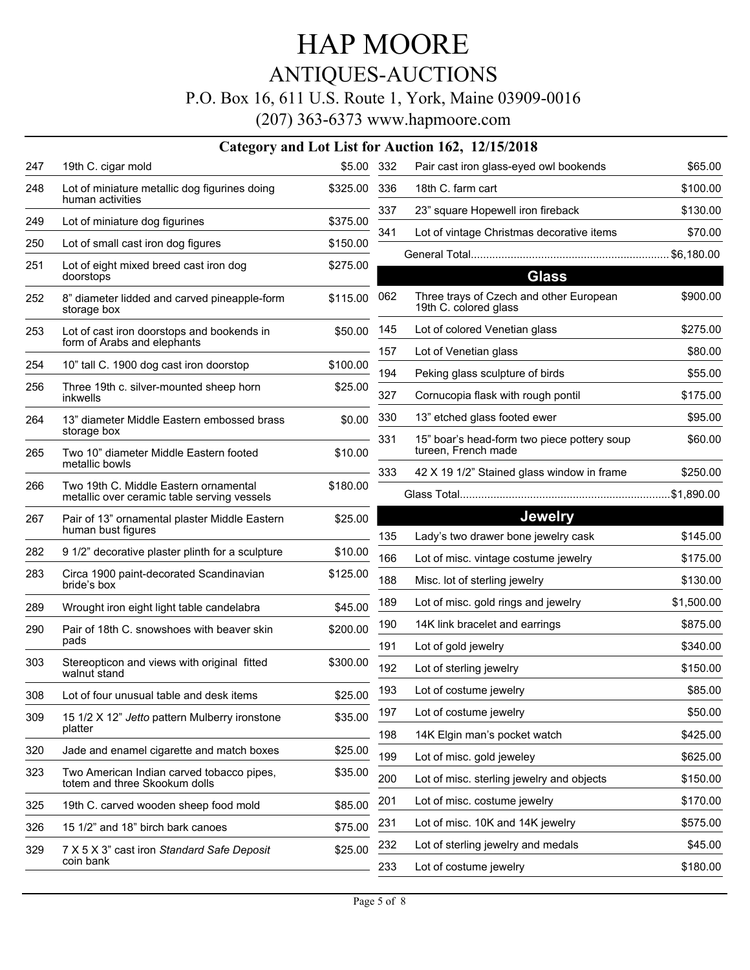### ANTIQUES-AUCTIONS

#### P.O. Box 16, 611 U.S. Route 1, York, Maine 03909-0016

(207) 363-6373 www.hapmoore.com

|     |                                                                                      |          |     | Category and Lot List for Auction 162, 12/15/2018 |
|-----|--------------------------------------------------------------------------------------|----------|-----|---------------------------------------------------|
| 247 | 19th C. cigar mold                                                                   | \$5.00   | 332 | Pair cast iron glass-eyed                         |
| 248 | Lot of miniature metallic dog figurines doing<br>human activities                    | \$325.00 | 336 | 18th C. farm cart                                 |
| 249 | Lot of miniature dog figurines                                                       | \$375.00 | 337 | 23" square Hopewell iron                          |
| 250 | Lot of small cast iron dog figures                                                   | \$150.00 | 341 | Lot of vintage Christmas                          |
| 251 | Lot of eight mixed breed cast iron dog                                               | \$275.00 |     | General Total                                     |
|     | doorstops                                                                            |          |     | G                                                 |
| 252 | 8" diameter lidded and carved pineapple-form<br>storage box                          | \$115.00 | 062 | Three trays of Czech and<br>19th C. colored glass |
| 253 | Lot of cast iron doorstops and bookends in<br>form of Arabs and elephants            | \$50.00  | 145 | Lot of colored Venetian g                         |
|     |                                                                                      |          | 157 | Lot of Venetian glass                             |
| 254 | 10" tall C. 1900 dog cast iron doorstop                                              | \$100.00 | 194 | Peking glass sculpture of                         |
| 256 | Three 19th c. silver-mounted sheep horn<br><i>inkwells</i>                           | \$25.00  | 327 | Cornucopia flask with rou                         |
| 264 | 13" diameter Middle Eastern embossed brass                                           | \$0.00   | 330 | 13" etched glass footed e                         |
| 265 | storage box<br>Two 10" diameter Middle Eastern footed<br>metallic bowls              | \$10.00  | 331 | 15" boar's head-form two<br>tureen, French made   |
|     |                                                                                      |          | 333 | 42 X 19 1/2" Stained glas                         |
| 266 | Two 19th C. Middle Eastern ornamental<br>metallic over ceramic table serving vessels | \$180.00 |     | Glass Total                                       |
| 267 | Pair of 13" ornamental plaster Middle Eastern                                        | \$25.00  |     | <b>Je</b>                                         |
|     | human bust figures                                                                   |          | 135 | Lady's two drawer bone j                          |
| 282 | 9 1/2" decorative plaster plinth for a sculpture                                     | \$10.00  | 166 | Lot of misc. vintage costu                        |
| 283 | Circa 1900 paint-decorated Scandinavian<br>bride's box                               | \$125.00 | 188 | Misc. lot of sterling jewelr                      |
| 289 | Wrought iron eight light table candelabra                                            | \$45.00  | 189 | Lot of misc. gold rings an                        |
| 290 | Pair of 18th C. snowshoes with beaver skin                                           | \$200.00 | 190 | 14K link bracelet and ear                         |
|     | pads                                                                                 |          | 191 | Lot of gold jewelry                               |
| 303 | Stereopticon and views with original fitted<br>walnut stand                          | \$300.00 | 192 | Lot of sterling jewelry                           |
| 308 | Lot of four unusual table and desk items                                             | \$25.00  | 193 | Lot of costume jewelry                            |
| 309 | 15 1/2 X 12" Jetto pattern Mulberry ironstone                                        | \$35.00  | 197 | Lot of costume jewelry                            |
|     | platter                                                                              |          | 198 | 14K Elgin man's pocket v                          |
| 320 | Jade and enamel cigarette and match boxes                                            | \$25.00  | 199 | Lot of misc. gold jeweley                         |
| 323 | Two American Indian carved tobacco pipes,<br>totem and three Skookum dolls           | \$35.00  | 200 | Lot of misc. sterling jewel                       |
| 325 | 19th C. carved wooden sheep food mold                                                | \$85.00  | 201 | Lot of misc. costume jew                          |
| 326 | 15 1/2" and 18" birch bark canoes                                                    | \$75.00  | 231 | Lot of misc. 10K and 14K                          |
| 329 | 7 X 5 X 3" cast iron Standard Safe Deposit                                           | \$25.00  | 232 | Lot of sterling jewelry and                       |
|     | coin bank                                                                            |          | 233 | Lot of costume jewelry                            |

| 332 | Pair cast iron glass-eyed owl bookends                             | \$65.00    |
|-----|--------------------------------------------------------------------|------------|
| 336 | 18th C. farm cart                                                  | \$100.00   |
| 337 | 23" square Hopewell iron fireback                                  | \$130.00   |
| 341 | Lot of vintage Christmas decorative items                          | \$70.00    |
|     |                                                                    | \$6,180.00 |
|     | <b>Glass</b>                                                       |            |
| 062 | Three trays of Czech and other European<br>19th C. colored glass   | \$900.00   |
| 145 | Lot of colored Venetian glass                                      | \$275.00   |
| 157 | Lot of Venetian glass                                              | \$80.00    |
| 194 | Peking glass sculpture of birds                                    | \$55.00    |
| 327 | Cornucopia flask with rough pontil                                 | \$175.00   |
| 330 | 13" etched glass footed ewer                                       | \$95.00    |
| 331 | 15" boar's head-form two piece pottery soup<br>tureen, French made | \$60.00    |
| 333 | 42 X 19 1/2" Stained glass window in frame                         | \$250.00   |
|     | Glass Total                                                        |            |
|     | <b>Jewelry</b>                                                     |            |
| 135 | Lady's two drawer bone jewelry cask                                | \$145.00   |
| 166 | Lot of misc. vintage costume jewelry                               | \$175.00   |
| 188 | Misc. lot of sterling jewelry                                      | \$130.00   |
| 189 | Lot of misc. gold rings and jewelry                                | \$1,500.00 |
| 190 | 14K link bracelet and earrings                                     | \$875.00   |
| 191 | Lot of gold jewelry                                                | \$340.00   |
| 192 | Lot of sterling jewelry                                            | \$150.00   |
| 193 | Lot of costume jewelry                                             | \$85.00    |
| 197 | Lot of costume jewelry                                             | \$50.00    |
| 198 | 14K Elgin man's pocket watch                                       | \$425.00   |
| 199 | Lot of misc. gold jeweley                                          | \$625.00   |
| 200 | Lot of misc. sterling jewelry and objects                          | \$150.00   |
| 201 | Lot of misc. costume jewelry                                       | \$170.00   |
| 231 | Lot of misc. 10K and 14K jewelry                                   | \$575.00   |
|     |                                                                    |            |

Lot of costume jewelry **EXACTE 180.00**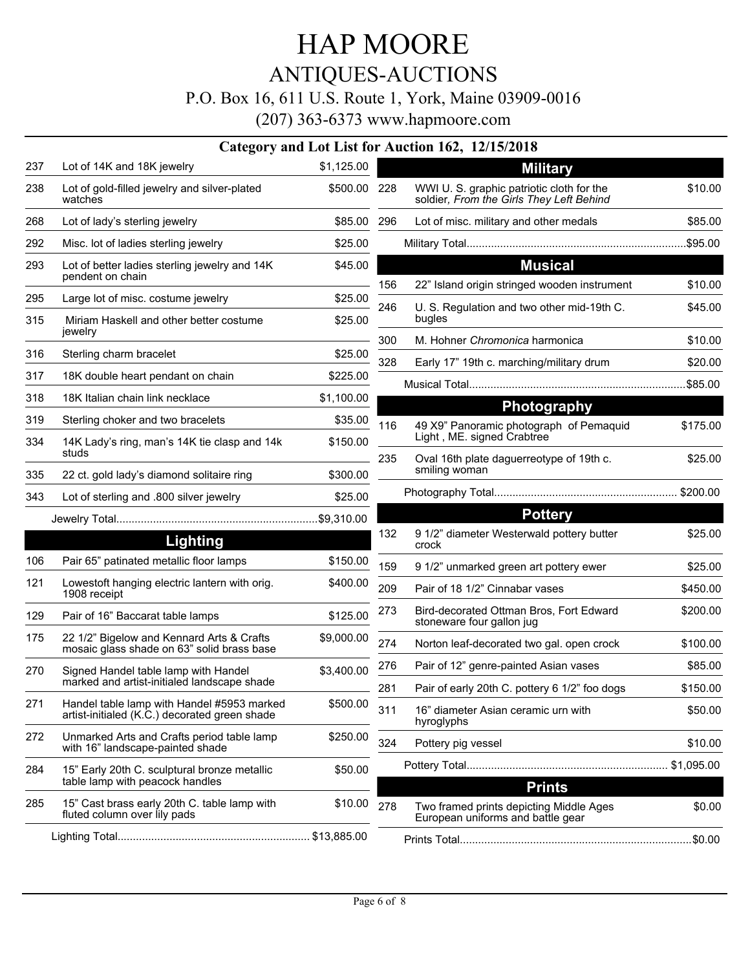## HAP MOORE ANTIQUES-AUCTIONS P.O. Box 16, 611 U.S. Route 1, York, Maine 03909-0016

|     |                                                                                             |              |     | Category and Lot List for Auction 162, 12/15/2018                                     |          |
|-----|---------------------------------------------------------------------------------------------|--------------|-----|---------------------------------------------------------------------------------------|----------|
| 237 | Lot of 14K and 18K jewelry                                                                  | \$1,125.00   |     | <b>Military</b>                                                                       |          |
| 238 | Lot of gold-filled jewelry and silver-plated<br>watches                                     | \$500.00 228 |     | WWI U. S. graphic patriotic cloth for the<br>soldier, From the Girls They Left Behind | \$10.00  |
| 268 | Lot of lady's sterling jewelry                                                              | \$85.00 296  |     | Lot of misc. military and other medals                                                | \$85.00  |
| 292 | Misc. lot of ladies sterling jewelry                                                        | \$25.00      |     |                                                                                       |          |
| 293 | Lot of better ladies sterling jewelry and 14K                                               | \$45.00      |     | <b>Musical</b>                                                                        |          |
|     | pendent on chain                                                                            |              | 156 | 22" Island origin stringed wooden instrument                                          | \$10.00  |
| 295 | Large lot of misc. costume jewelry                                                          | \$25.00      | 246 | U. S. Regulation and two other mid-19th C.                                            | \$45.00  |
| 315 | Miriam Haskell and other better costume<br>jewelry                                          | \$25.00      |     | bugles                                                                                |          |
| 316 | Sterling charm bracelet                                                                     | \$25.00      | 300 | M. Hohner Chromonica harmonica                                                        | \$10.00  |
| 317 | 18K double heart pendant on chain                                                           | \$225.00     | 328 | Early 17" 19th c. marching/military drum                                              | \$20.00  |
| 318 | 18K Italian chain link necklace                                                             | \$1,100.00   |     |                                                                                       | \$85.00  |
| 319 | Sterling choker and two bracelets                                                           | \$35.00      |     | Photography                                                                           |          |
| 334 | 14K Lady's ring, man's 14K tie clasp and 14k                                                | \$150.00     | 116 | 49 X9" Panoramic photograph of Pemaquid<br>Light, ME. signed Crabtree                 | \$175.00 |
|     | studs                                                                                       |              | 235 | Oval 16th plate daguerreotype of 19th c.                                              | \$25.00  |
| 335 | 22 ct. gold lady's diamond solitaire ring                                                   | \$300.00     |     | smiling woman                                                                         |          |
| 343 | Lot of sterling and .800 silver jewelry                                                     | \$25.00      |     |                                                                                       |          |
|     |                                                                                             |              |     | <b>Pottery</b>                                                                        |          |
|     | <b>Lighting</b>                                                                             |              | 132 | 9 1/2" diameter Westerwald pottery butter<br>crock                                    | \$25.00  |
| 106 | Pair 65" patinated metallic floor lamps                                                     | \$150.00     | 159 | 9 1/2" unmarked green art pottery ewer                                                | \$25.00  |
| 121 | Lowestoft hanging electric lantern with orig.<br>1908 receipt                               | \$400.00     | 209 | Pair of 18 1/2" Cinnabar vases                                                        | \$450.00 |
| 129 | Pair of 16" Baccarat table lamps                                                            | \$125.00     | 273 | Bird-decorated Ottman Bros, Fort Edward<br>stoneware four gallon jug                  | \$200.00 |
| 175 | 22 1/2" Bigelow and Kennard Arts & Crafts<br>mosaic glass shade on 63" solid brass base     | \$9,000.00   | 274 | Norton leaf-decorated two gal. open crock                                             | \$100.00 |
| 270 | Signed Handel table lamp with Handel                                                        | \$3,400.00   | 276 | Pair of 12" genre-painted Asian vases                                                 | \$85.00  |
|     | marked and artist-initialed landscape shade                                                 |              | 281 | Pair of early 20th C. pottery 6 1/2" foo dogs                                         | \$150.00 |
| 271 | Handel table lamp with Handel #5953 marked<br>artist-initialed (K.C.) decorated green shade | \$500.00     | 311 | 16" diameter Asian ceramic urn with<br>hyroglyphs                                     | \$50.00  |
| 272 | Unmarked Arts and Crafts period table lamp<br>with 16" landscape-painted shade              | \$250.00     | 324 | Pottery pig vessel                                                                    | \$10.00  |
| 284 | 15" Early 20th C. sculptural bronze metallic<br>table lamp with peacock handles             | \$50.00      |     | <b>Prints</b>                                                                         |          |
| 285 | 15" Cast brass early 20th C. table lamp with<br>fluted column over lily pads                | \$10.00      | 278 | Two framed prints depicting Middle Ages<br>European uniforms and battle gear          | \$0.00   |
|     |                                                                                             |              |     |                                                                                       |          |
|     |                                                                                             |              |     |                                                                                       |          |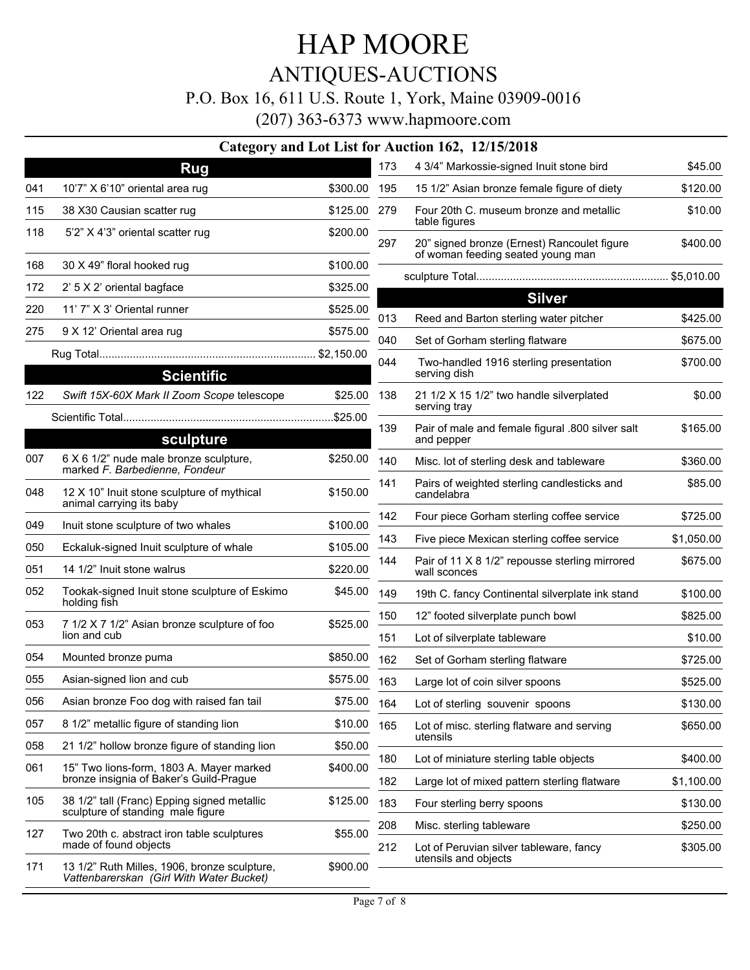## ANTIQUES-AUCTIONS

#### P.O. Box 16, 611 U.S. Route 1, York, Maine 03909-0016

|            |                                                                                          |                      |            | Category and Lot List for Auction 162, 12/15/2018                                |                      |
|------------|------------------------------------------------------------------------------------------|----------------------|------------|----------------------------------------------------------------------------------|----------------------|
|            | <b>Rug</b>                                                                               |                      | 173        | 4 3/4" Markossie-signed Inuit stone bird                                         | \$45.00              |
| 041        | 10'7" X 6'10" oriental area rug                                                          | \$300.00             | 195        | 15 1/2" Asian bronze female figure of diety                                      | \$120.00             |
| 115        | 38 X30 Causian scatter rug                                                               | \$125.00 279         |            | Four 20th C. museum bronze and metallic<br>table figures                         | \$10.00              |
| 118        | 5'2" X 4'3" oriental scatter rug                                                         | \$200.00             | 297        | 20" signed bronze (Ernest) Rancoulet figure<br>of woman feeding seated young man | \$400.00             |
| 168        | 30 X 49" floral hooked rug                                                               | \$100.00             |            |                                                                                  |                      |
| 172        | 2' 5 X 2' oriental bagface                                                               | \$325.00             |            | <b>Silver</b>                                                                    |                      |
| 220        | 11' 7" X 3' Oriental runner                                                              | \$525.00             | 013        | Reed and Barton sterling water pitcher                                           | \$425.00             |
| 275        | 9 X 12' Oriental area rug                                                                | \$575.00             | 040        | Set of Gorham sterling flatware                                                  | \$675.00             |
|            | <b>Scientific</b>                                                                        |                      | 044        | Two-handled 1916 sterling presentation<br>serving dish                           | \$700.00             |
| 122        | Swift 15X-60X Mark II Zoom Scope telescope                                               | \$25.00              | 138        | 21 1/2 X 15 1/2" two handle silverplated<br>serving tray                         | \$0.00               |
|            | sculpture                                                                                |                      | 139        | Pair of male and female figural .800 silver salt<br>and pepper                   | \$165.00             |
| 007        | 6 X 6 1/2" nude male bronze sculpture,<br>marked F. Barbedienne, Fondeur                 | \$250.00             | 140        | Misc. lot of sterling desk and tableware                                         | \$360.00             |
| 048        | 12 X 10" Inuit stone sculpture of mythical<br>animal carrying its baby                   | \$150.00             | 141        | Pairs of weighted sterling candlesticks and<br>candelabra                        | \$85.00              |
| 049        | Inuit stone sculpture of two whales                                                      | \$100.00             | 142        | Four piece Gorham sterling coffee service                                        | \$725.00             |
|            |                                                                                          |                      | 143        | Five piece Mexican sterling coffee service                                       | \$1,050.00           |
| 050<br>051 | Eckaluk-signed Inuit sculpture of whale<br>14 1/2" Inuit stone walrus                    | \$105.00<br>\$220.00 | 144        | Pair of 11 X 8 1/2" repousse sterling mirrored<br>wall sconces                   | \$675.00             |
| 052        | Tookak-signed Inuit stone sculpture of Eskimo<br>holding fish                            | \$45.00              | 149        | 19th C. fancy Continental silverplate ink stand                                  | \$100.00             |
| 053        | 7 1/2 X 7 1/2" Asian bronze sculpture of foo                                             | \$525.00             | 150        | 12" footed silverplate punch bowl                                                | \$825.00             |
|            | lion and cub                                                                             |                      | 151        | Lot of silverplate tableware                                                     | \$10.00              |
| 054        | Mounted bronze puma                                                                      | \$850.00             | 162        | Set of Gorham sterling flatware                                                  | \$725.00             |
| 055        | Asian-signed lion and cub                                                                | \$575.00             | 163        | Large lot of coin silver spoons                                                  | \$525.00             |
| 056        | Asian bronze Foo dog with raised fan tail                                                | \$75.00              | 164        | Lot of sterling souvenir spoons                                                  | \$130.00             |
| 057        | 8 1/2" metallic figure of standing lion                                                  | \$10.00              | 165        | Lot of misc. sterling flatware and serving                                       | \$650.00             |
| 058        | 21 1/2" hollow bronze figure of standing lion                                            | \$50.00              |            | utensils                                                                         |                      |
| 061        | 15" Two lions-form, 1803 A. Mayer marked<br>bronze insignia of Baker's Guild-Prague      | \$400.00             | 180        | Lot of miniature sterling table objects                                          | \$400.00             |
| 105        | 38 1/2" tall (Franc) Epping signed metallic                                              |                      | 182        | Large lot of mixed pattern sterling flatware                                     | \$1,100.00           |
|            | sculpture of standing male figure                                                        | \$125.00             | 183        | Four sterling berry spoons                                                       | \$130.00             |
| 127        | Two 20th c. abstract iron table sculptures<br>made of found objects                      | \$55.00              | 208<br>212 | Misc. sterling tableware<br>Lot of Peruvian silver tableware, fancy              | \$250.00<br>\$305.00 |
| 171        | 13 1/2" Ruth Milles, 1906, bronze sculpture,<br>Vattenbarerskan (Girl With Water Bucket) | \$900.00             |            | utensils and objects                                                             |                      |